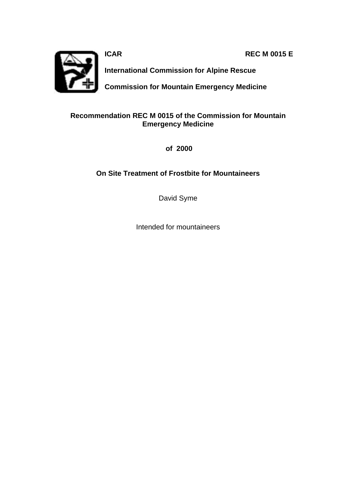**ICAR REC M 0015 E**



**International Commission for Alpine Rescue**

**Commission for Mountain Emergency Medicine**

### **Recommendation REC M 0015 of the Commission for Mountain Emergency Medicine**

 **of 2000**

### **On Site Treatment of Frostbite for Mountaineers**

David Syme

Intended for mountaineers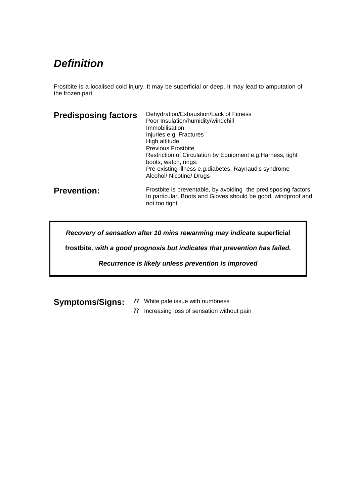# *Definition*

Frostbite is a localised cold injury. It may be superficial or deep. It may lead to amputation of the frozen part.

| <b>Predisposing factors</b> | Dehydration/Exhaustion/Lack of Fitness<br>Poor Insulation/humidity/windchill<br>Immobilisation<br>Injuries e.g. Fractures<br>High altitude<br><b>Previous Frostbite</b><br>Restriction of Circulation by Equipment e.g. Harness, tight<br>boots, watch, rings.<br>Pre-existing illness e.g.diabetes, Raynaud's syndrome<br>Alcohol/ Nicotine/ Drugs |
|-----------------------------|-----------------------------------------------------------------------------------------------------------------------------------------------------------------------------------------------------------------------------------------------------------------------------------------------------------------------------------------------------|
| <b>Prevention:</b>          | Frostbite is preventable, by avoiding the predisposing factors.<br>In particular, Boots and Gloves should be good, windproof and<br>not too tight                                                                                                                                                                                                   |

*Recovery of sensation after 10 mins rewarming may indicate* **superficial** 

**frostbite***, with a good prognosis but indicates that prevention has failed.* 

*Recurrence is likely unless prevention is improved* 

- **Symptoms/Signs:** ?? White pale issue with numbness
	- ?? Increasing loss of sensation without pain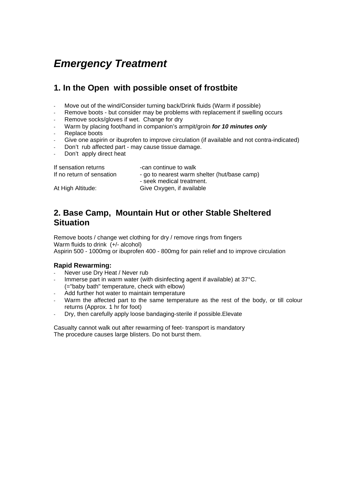# *Emergency Treatment*

## **1. In the Open with possible onset of frostbite**

- Move out of the wind/Consider turning back/Drink fluids (Warm if possible)
- Remove boots but consider may be problems with replacement if swelling occurs
- Remove socks/gloves if wet. Change for dry
- Warm by placing foot/hand in companion's armpit/groin *for 10 minutes only*
- Replace boots
- Give one aspirin or ibuprofen to improve circulation (if available and not contra-indicated)
- Don't rub affected part may cause tissue damage.
- Don't apply direct heat

| If sensation returns      | -can continue to walk                                  |
|---------------------------|--------------------------------------------------------|
| If no return of sensation | - go to nearest warm shelter (hut/base camp)           |
| At High Altitude:         | - seek medical treatment.<br>Give Oxygen, if available |

### **2. Base Camp, Mountain Hut or other Stable Sheltered Situation**

Remove boots / change wet clothing for dry / remove rings from fingers Warm fluids to drink (+/- alcohol) Aspirin 500 - 1000mg or ibuprofen 400 - 800mg for pain relief and to improve circulation

#### **Rapid Rewarming:**

- Never use Dry Heat / Never rub
- Immerse part in warm water (with disinfecting agent if available) at 37°C. (="baby bath" temperature, check with elbow)
- Add further hot water to maintain temperature
- Warm the affected part to the same temperature as the rest of the body, or till colour returns (Approx. 1 hr for foot)
- Dry, then carefully apply loose bandaging-sterile if possible. Elevate

Casualty cannot walk out after rewarming of feet- transport is mandatory The procedure causes large blisters. Do not burst them.